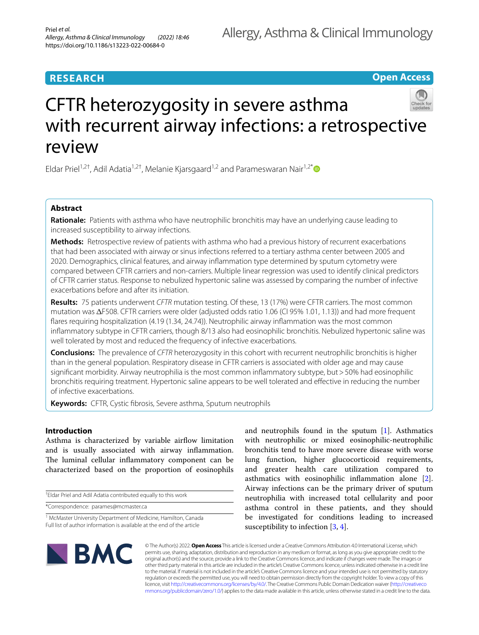# **RESEARCH**

# **Open Access**



Eldar Priel<sup>1,2†</sup>, Adil Adatia<sup>1,2†</sup>, Melanie Kjarsgaard<sup>1,2</sup> and Parameswaran Nair<sup>1,2\*</sup>

## **Abstract**

**Rationale:** Patients with asthma who have neutrophilic bronchitis may have an underlying cause leading to increased susceptibility to airway infections.

**Methods:** Retrospective review of patients with asthma who had a previous history of recurrent exacerbations that had been associated with airway or sinus infections referred to a tertiary asthma center between 2005 and 2020. Demographics, clinical features, and airway infammation type determined by sputum cytometry were compared between CFTR carriers and non-carriers. Multiple linear regression was used to identify clinical predictors of CFTR carrier status. Response to nebulized hypertonic saline was assessed by comparing the number of infective exacerbations before and after its initiation.

**Results:** 75 patients underwent *CFTR* mutation testing. Of these, 13 (17%) were CFTR carriers. The most common mutation was  $\Delta$ F508. CFTR carriers were older (adjusted odds ratio 1.06 (CI 95% 1.01, 1.13)) and had more frequent fares requiring hospitalization (4.19 (1.34, 24.74)). Neutrophilic airway infammation was the most common infammatory subtype in CFTR carriers, though 8/13 also had eosinophilic bronchitis. Nebulized hypertonic saline was well tolerated by most and reduced the frequency of infective exacerbations.

**Conclusions:** The prevalence of *CFTR* heterozygosity in this cohort with recurrent neutrophilic bronchitis is higher than in the general population. Respiratory disease in CFTR carriers is associated with older age and may cause significant morbidity. Airway neutrophilia is the most common inflammatory subtype, but > 50% had eosinophilic bronchitis requiring treatment. Hypertonic saline appears to be well tolerated and efective in reducing the number of infective exacerbations.

**Keywords:** CFTR, Cystic fbrosis, Severe asthma, Sputum neutrophils

## **Introduction**

Asthma is characterized by variable airfow limitation and is usually associated with airway infammation. The luminal cellular inflammatory component can be characterized based on the proportion of eosinophils

† Eldar Priel and Adil Adatia contributed equally to this work

\*Correspondence: parames@mcmaster.ca

and neutrophils found in the sputum [[1\]](#page-7-0). Asthmatics with neutrophilic or mixed eosinophilic-neutrophilic bronchitis tend to have more severe disease with worse lung function, higher glucocorticoid requirements, and greater health care utilization compared to asthmatics with eosinophilic infammation alone [\[2](#page-7-1)]. Airway infections can be the primary driver of sputum neutrophilia with increased total cellularity and poor asthma control in these patients, and they should be investigated for conditions leading to increased susceptibility to infection  $[3, 4]$  $[3, 4]$  $[3, 4]$ .



© The Author(s) 2022. **Open Access** This article is licensed under a Creative Commons Attribution 4.0 International License, which permits use, sharing, adaptation, distribution and reproduction in any medium or format, as long as you give appropriate credit to the original author(s) and the source, provide a link to the Creative Commons licence, and indicate if changes were made. The images or other third party material in this article are included in the article's Creative Commons licence, unless indicated otherwise in a credit line to the material. If material is not included in the article's Creative Commons licence and your intended use is not permitted by statutory regulation or exceeds the permitted use, you will need to obtain permission directly from the copyright holder. To view a copy of this licence, visit [http://creativecommons.org/licenses/by/4.0/.](http://creativecommons.org/licenses/by/4.0/) The Creative Commons Public Domain Dedication waiver ([http://creativeco](http://creativecommons.org/publicdomain/zero/1.0/) [mmons.org/publicdomain/zero/1.0/](http://creativecommons.org/publicdomain/zero/1.0/)) applies to the data made available in this article, unless otherwise stated in a credit line to the data.

<sup>&</sup>lt;sup>1</sup> McMaster University Department of Medicine, Hamilton, Canada Full list of author information is available at the end of the article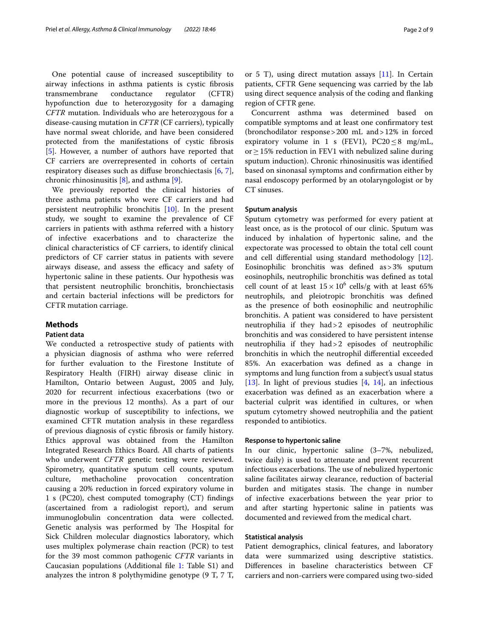One potential cause of increased susceptibility to airway infections in asthma patients is cystic fbrosis transmembrane conductance regulator (CFTR) hypofunction due to heterozygosity for a damaging *CFTR* mutation. Individuals who are heterozygous for a disease-causing mutation in *CFTR* (CF carriers), typically have normal sweat chloride, and have been considered protected from the manifestations of cystic fbrosis [[5\]](#page-7-4). However, a number of authors have reported that CF carriers are overrepresented in cohorts of certain respiratory diseases such as difuse bronchiectasis [\[6,](#page-7-5) [7](#page-7-6)], chronic rhinosinusitis [\[8](#page-7-7)], and asthma [[9\]](#page-7-8).

We previously reported the clinical histories of three asthma patients who were CF carriers and had persistent neutrophilic bronchitis [[10](#page-7-9)]. In the present study, we sought to examine the prevalence of CF carriers in patients with asthma referred with a history of infective exacerbations and to characterize the clinical characteristics of CF carriers, to identify clinical predictors of CF carrier status in patients with severe airways disease, and assess the efficacy and safety of hypertonic saline in these patients. Our hypothesis was that persistent neutrophilic bronchitis, bronchiectasis and certain bacterial infections will be predictors for CFTR mutation carriage.

## **Methods**

## **Patient data**

We conducted a retrospective study of patients with a physician diagnosis of asthma who were referred for further evaluation to the Firestone Institute of Respiratory Health (FIRH) airway disease clinic in Hamilton, Ontario between August, 2005 and July, 2020 for recurrent infectious exacerbations (two or more in the previous 12 months). As a part of our diagnostic workup of susceptibility to infections, we examined CFTR mutation analysis in these regardless of previous diagnosis of cystic fbrosis or family history. Ethics approval was obtained from the Hamilton Integrated Research Ethics Board. All charts of patients who underwent *CFTR* genetic testing were reviewed. Spirometry, quantitative sputum cell counts, sputum culture, methacholine provocation concentration causing a 20% reduction in forced expiratory volume in 1 s (PC20), chest computed tomography (CT) fndings (ascertained from a radiologist report), and serum immunoglobulin concentration data were collected. Genetic analysis was performed by The Hospital for Sick Children molecular diagnostics laboratory, which uses multiplex polymerase chain reaction (PCR) to test for the 39 most common pathogenic *CFTR* variants in Caucasian populations (Additional fle [1](#page-6-0): Table S1) and analyzes the intron 8 polythymidine genotype (9 T, 7 T, or 5 T), using direct mutation assays  $[11]$  $[11]$ . In Certain patients, CFTR Gene sequencing was carried by the lab using direct sequence analysis of the coding and fanking region of CFTR gene.

Concurrent asthma was determined based on compatible symptoms and at least one confrmatory test (bronchodilator response>200 mL and>12% in forced expiratory volume in 1 s (FEV1), PC20  $\leq$  8 mg/mL, or≥15% reduction in FEV1 with nebulized saline during sputum induction). Chronic rhinosinusitis was identifed based on sinonasal symptoms and confrmation either by nasal endoscopy performed by an otolaryngologist or by CT sinuses.

## **Sputum analysis**

Sputum cytometry was performed for every patient at least once, as is the protocol of our clinic. Sputum was induced by inhalation of hypertonic saline, and the expectorate was processed to obtain the total cell count and cell diferential using standard methodology [\[12](#page-7-11)]. Eosinophilic bronchitis was defned as>3% sputum eosinophils, neutrophilic bronchitis was defned as total cell count of at least  $15 \times 10^6$  cells/g with at least 65% neutrophils, and pleiotropic bronchitis was defned as the presence of both eosinophilic and neutrophilic bronchitis. A patient was considered to have persistent neutrophilia if they had>2 episodes of neutrophilic bronchitis and was considered to have persistent intense neutrophilia if they had>2 episodes of neutrophilic bronchitis in which the neutrophil diferential exceeded 85%. An exacerbation was defned as a change in symptoms and lung function from a subject's usual status [[13\]](#page-7-12). In light of previous studies [\[4](#page-7-3), [14\]](#page-7-13), an infectious exacerbation was defned as an exacerbation where a bacterial culprit was identifed in cultures, or when sputum cytometry showed neutrophilia and the patient responded to antibiotics.

#### **Response to hypertonic saline**

In our clinic, hypertonic saline (3–7%, nebulized, twice daily) is used to attenuate and prevent recurrent infectious exacerbations. The use of nebulized hypertonic saline facilitates airway clearance, reduction of bacterial burden and mitigates stasis. The change in number of infective exacerbations between the year prior to and after starting hypertonic saline in patients was documented and reviewed from the medical chart.

## **Statistical analysis**

Patient demographics, clinical features, and laboratory data were summarized using descriptive statistics. Diferences in baseline characteristics between CF carriers and non-carriers were compared using two-sided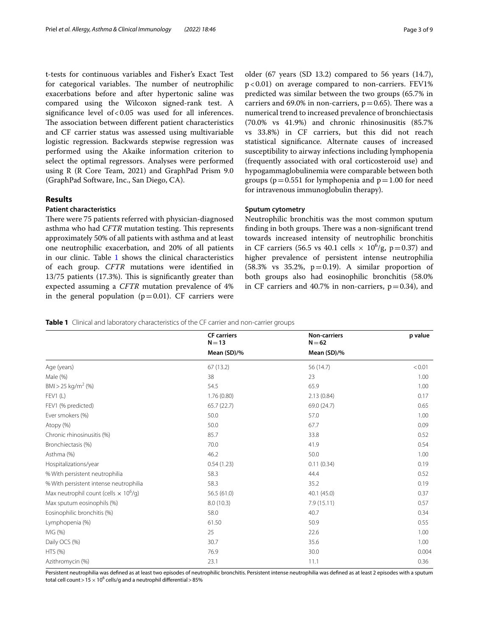t-tests for continuous variables and Fisher's Exact Test for categorical variables. The number of neutrophilic exacerbations before and after hypertonic saline was compared using the Wilcoxon signed-rank test. A significance level of  $< 0.05$  was used for all inferences. The association between different patient characteristics and CF carrier status was assessed using multivariable logistic regression. Backwards stepwise regression was performed using the Akaike information criterion to select the optimal regressors. Analyses were performed using R (R Core Team, 2021) and GraphPad Prism 9.0 (GraphPad Software, Inc., San Diego, CA).

## **Results**

## **Patient characteristics**

There were 75 patients referred with physician-diagnosed asthma who had *CFTR* mutation testing. This represents approximately 50% of all patients with asthma and at least one neutrophilic exacerbation, and 20% of all patients in our clinic. Table [1](#page-2-0) shows the clinical characteristics of each group. *CFTR* mutations were identifed in  $13/75$  patients  $(17.3%)$ . This is significantly greater than expected assuming a *CFTR* mutation prevalence of 4% in the general population  $(p=0.01)$ . CF carriers were older (67 years (SD 13.2) compared to 56 years (14.7),  $p < 0.01$ ) on average compared to non-carriers. FEV1% predicted was similar between the two groups (65.7% in carriers and 69.0% in non-carriers,  $p=0.65$ ). There was a numerical trend to increased prevalence of bronchiectasis (70.0% vs 41.9%) and chronic rhinosinusitis (85.7% vs 33.8%) in CF carriers, but this did not reach statistical signifcance. Alternate causes of increased susceptibility to airway infections including lymphopenia (frequently associated with oral corticosteroid use) and hypogammaglobulinemia were comparable between both groups ( $p=0.551$  for lymphopenia and  $p=1.00$  for need for intravenous immunoglobulin therapy).

## **Sputum cytometry**

Neutrophilic bronchitis was the most common sputum finding in both groups. There was a non-significant trend towards increased intensity of neutrophilic bronchitis in CF carriers (56.5 vs 40.1 cells  $\times$  10<sup>6</sup>/g, p=0.37) and higher prevalence of persistent intense neutrophilia (58.3% vs 35.2%,  $p=0.19$ ). A similar proportion of both groups also had eosinophilic bronchitis (58.0% in CF carriers and 40.7% in non-carriers,  $p=0.34$ ), and

## <span id="page-2-0"></span>**Table 1** Clinical and laboratory characteristics of the CF carrier and non-carrier groups

|                                                          | <b>CF</b> carriers<br>$N = 13$ | <b>Non-carriers</b><br>$N = 62$ | p value |
|----------------------------------------------------------|--------------------------------|---------------------------------|---------|
|                                                          | Mean (SD)/%                    | Mean (SD)/%                     |         |
| Age (years)                                              | 67(13.2)                       | 56 (14.7)                       | < 0.01  |
| Male (%)                                                 | 38                             | 23                              | 1.00    |
| BMI > 25 kg/m <sup>2</sup> (%)                           | 54.5                           | 65.9                            | 1.00    |
| FEV1(L)                                                  | 1.76(0.80)                     | 2.13 (0.84)                     | 0.17    |
| FEV1 (% predicted)                                       | 65.7(22.7)                     | 69.0 (24.7)                     | 0.65    |
| Ever smokers (%)                                         | 50.0                           | 57.0                            | 1.00    |
| Atopy (%)                                                | 50.0                           | 67.7                            | 0.09    |
| Chronic rhinosinusitis (%)                               | 85.7                           | 33.8                            | 0.52    |
| Bronchiectasis (%)                                       | 70.0                           | 41.9                            | 0.54    |
| Asthma (%)                                               | 46.2                           | 50.0                            | 1.00    |
| Hospitalizations/year                                    | 0.54(1.23)                     | 0.11(0.34)                      | 0.19    |
| % With persistent neutrophilia                           | 58.3                           | 44.4                            | 0.52    |
| % With persistent intense neutrophilia                   | 58.3                           | 35.2                            | 0.19    |
| Max neutrophil count (cells $\times$ 10 <sup>6</sup> /g) | 56.5(61.0)                     | 40.1 (45.0)                     | 0.37    |
| Max sputum eosinophils (%)                               | 8.0(10.3)                      | 7.9(15.11)                      | 0.57    |
| Eosinophilic bronchitis (%)                              | 58.0                           | 40.7                            | 0.34    |
| Lymphopenia (%)                                          | 61.50                          | 50.9                            | 0.55    |
| IVIG(%)                                                  | 25                             | 22.6                            | 1.00    |
| Daily OCS (%)                                            | 30.7                           | 35.6                            | 1.00    |
| HTS (%)                                                  | 76.9                           | 30.0                            | 0.004   |
| Azithromycin (%)                                         | 23.1                           | 11.1                            | 0.36    |

Persistent neutrophilia was defined as at least two episodes of neutrophilic bronchitis. Persistent intense neutrophilia was defined as at least 2 episodes with a sputum total cell count  $>$  15  $\times$  10 $^{6}$  cells/g and a neutrophil differential  $>$  85%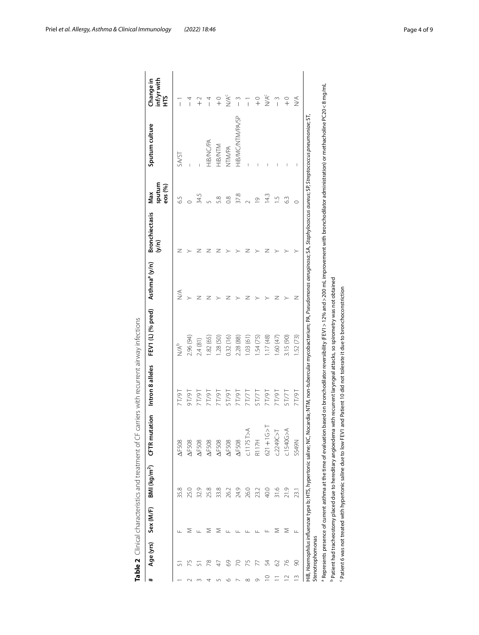| #             | Age (yrs)        | Sex (M/F) | BMI (kg/m <sup>2</sup> )                                                 | <b>CFTR</b> mutation | Intron 8 alleles | FEV1 (L) (% pred)                                                                                                                           | Asthma <sup>a</sup> (y/n) | <b>Bronchiectasis</b> | Max               | Sputum culture                                                                                                                                                                                                   | Change in                    |
|---------------|------------------|-----------|--------------------------------------------------------------------------|----------------------|------------------|---------------------------------------------------------------------------------------------------------------------------------------------|---------------------------|-----------------------|-------------------|------------------------------------------------------------------------------------------------------------------------------------------------------------------------------------------------------------------|------------------------------|
|               |                  |           |                                                                          |                      |                  |                                                                                                                                             |                           | (N/Q                  | sputum<br>eos (%) |                                                                                                                                                                                                                  | inf/yr with<br>Ě             |
|               |                  |           | 35.8                                                                     | $\Delta$ F508        | 7 T/9 T          | N/A <sup>b</sup>                                                                                                                            | $\lessapprox$             | z                     | 6.5               | SA/ST                                                                                                                                                                                                            | $\overline{1}$               |
| $\sim$        | 5                |           | 25.0                                                                     | <b>AF508</b>         | 16/16            | 2.96 (94)                                                                                                                                   |                           |                       |                   |                                                                                                                                                                                                                  | 4<br>ן                       |
| $\sim$        |                  |           | 32.9                                                                     | <b>AF508</b>         | T <sub>6/1</sub> | 2.4(81)                                                                                                                                     |                           |                       | 34.5              |                                                                                                                                                                                                                  | $\widetilde{+}$              |
| 4             | 突                |           | 25.8                                                                     | <b>AF508</b>         | T/9T             | .82(65)                                                                                                                                     |                           |                       | 5                 | HIB/NC/PA                                                                                                                                                                                                        |                              |
| 5             |                  | ⋝         | 33.8                                                                     | <b>AF508</b>         | T6/1             | 1.28(50)                                                                                                                                    |                           |                       | 5.8               | HIB/NTM                                                                                                                                                                                                          | $\circ$ <sub>+</sub>         |
| $\circ$       | 8                |           | 26.2                                                                     | <b>AF508</b>         | <b>16/1S</b>     | 0.32(16)                                                                                                                                    |                           |                       | $\frac{8}{2}$     | NTM/PA                                                                                                                                                                                                           | $M^{\text{c}}$               |
| $\sim$        |                  |           | 24.9                                                                     | <b>AF508</b>         | T/9T             | 2.28 (88)                                                                                                                                   |                           |                       | 37.8              | HIB/MC/NTM/PA/SP                                                                                                                                                                                                 | $\tilde{1}$                  |
| $\infty$      | Ю                |           | 26.0                                                                     | C.1175T>A            | 71/7             | 1.03 (61                                                                                                                                    |                           |                       | $\sim$            | I                                                                                                                                                                                                                |                              |
| Ò             |                  |           | 23.2                                                                     | R117H                | 5T/7T            | .54 (75)                                                                                                                                    |                           |                       | $\overline{0}$    |                                                                                                                                                                                                                  | $\frac{0}{+}$                |
| $\supseteq$   | 24               |           | 40.0                                                                     | $621 + 16 > T$       | 16/1             | 1.17(48)                                                                                                                                    |                           | z                     | 14.3              |                                                                                                                                                                                                                  | $M^{\text{c}}$               |
|               | 2                | ⋝         | 31.6                                                                     | c.2249C > T          | T6/1             | 1.60(47)                                                                                                                                    | z                         |                       | $\overline{1}$    |                                                                                                                                                                                                                  | $\tilde{ }$                  |
|               | 76               | Σ         | 21.9                                                                     | c.1540G>A            | 5T/7T            | 3.15 (90)                                                                                                                                   |                           | >                     | 63                |                                                                                                                                                                                                                  | $\circ$ <sub>+</sub>         |
| $\frac{1}{2}$ | 8                | Щ         | 23.1                                                                     | S549N                | 16/1 z           | .52 (73)                                                                                                                                    | z                         | >                     | 0                 |                                                                                                                                                                                                                  | $\stackrel{\triangle}{\geq}$ |
|               | Stenotrophomonas |           |                                                                          |                      |                  |                                                                                                                                             |                           |                       |                   | HIB, Haemophilus influenzae type b; HTS, hypertonic saline; NC, Nocardia; NTM, non-tubercular mycobacterium; PA, Pseudomonas aeruginosa; SA, Staphylococcus aureus; SP, Streptococcus pneumoniae; ST,            |                              |
|               |                  |           |                                                                          |                      |                  |                                                                                                                                             |                           |                       |                   | $^3$ Represents presence of current asthma at the time of evaluation based on bronchodilator reversibility (FEV1 > 12% and > 200 mL improvement with bronchodilator administration) or methacholine PC20<8 mg/mL |                              |
|               |                  |           | <sup>b</sup> Patient had tracheostomy placed due to hereditary angioedem |                      |                  | ha with recurrent laryngeal attacks, so spirometry was not obtained                                                                         |                           |                       |                   |                                                                                                                                                                                                                  |                              |
|               |                  |           |                                                                          |                      |                  | <sup>c</sup> Patient 6 was not treated with hypertonic saline due to low FEV1 and Patient 10 did not tolerate it due to bronchoconstriction |                           |                       |                   |                                                                                                                                                                                                                  |                              |

<span id="page-3-0"></span>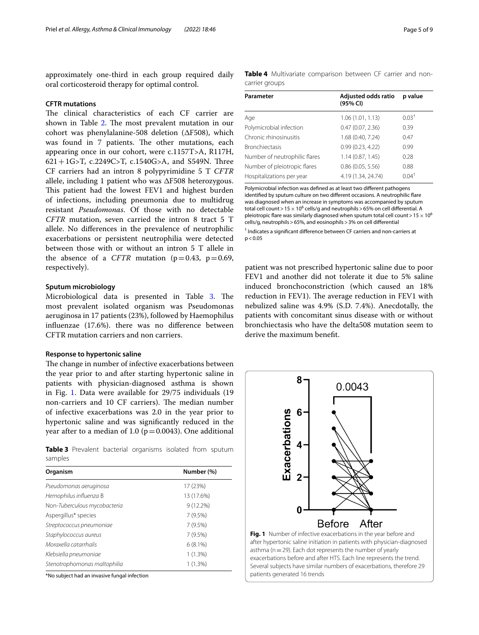approximately one-third in each group required daily oral corticosteroid therapy for optimal control.

## **CFTR mutations**

The clinical characteristics of each CF carrier are shown in Table [2.](#page-3-0) The most prevalent mutation in our cohort was phenylalanine-508 deletion ( $\Delta$ F508), which was found in 7 patients. The other mutations, each appearing once in our cohort, were c.1157T>A, R117H, 621+1G>T, c.2249C>T, c.1540G>A, and S549N. Three CF carriers had an intron 8 polypyrimidine 5 T *CFTR* allele, including 1 patient who was  $\Delta$ F508 heterozygous. This patient had the lowest FEV1 and highest burden of infections, including pneumonia due to multidrug resistant *Pseudomonas*. Of those with no detectable *CFTR* mutation, seven carried the intron 8 tract 5 T allele. No diferences in the prevalence of neutrophilic exacerbations or persistent neutrophilia were detected between those with or without an intron 5 T allele in the absence of a *CFTR* mutation ( $p=0.43$ ,  $p=0.69$ , respectively).

#### **Sputum microbiology**

Microbiological data is presented in Table [3](#page-4-0). The most prevalent isolated organism was Pseudomonas aeruginosa in 17 patients (23%), followed by Haemophilus infuenzae (17.6%). there was no diference between CFTR mutation carriers and non carriers.

## **Response to hypertonic saline**

The change in number of infective exacerbations between the year prior to and after starting hypertonic saline in patients with physician-diagnosed asthma is shown in Fig. [1.](#page-4-1) Data were available for 29/75 individuals (19 non-carriers and 10 CF carriers). The median number of infective exacerbations was 2.0 in the year prior to hypertonic saline and was signifcantly reduced in the year after to a median of 1.0 ( $p = 0.0043$ ). One additional

<span id="page-4-0"></span>**Table 3** Prevalent bacterial organisms isolated from sputum samples

| Organism                     | Number (%)  |
|------------------------------|-------------|
| Pseudomonas aeruginosa       | 17 (23%)    |
| Hemophilus influenza B       | 13 (17.6%)  |
| Non-Tuberculous mycobacteria | $9(12.2\%)$ |
| Aspergillus* species         | 7(9.5%)     |
| Streptococcus pneumoniae     | 7(9.5%)     |
| Staphylococcus aureus        | 7(9.5%)     |
| Moraxella catarrhalis        | $6(8.1\%)$  |
| Klebsiella pneumoniae        | $1(1.3\%)$  |
| Stenotrophomonas maltophilia | 1(1.3%)     |

\*No subject had an invasive fungal infection

<span id="page-4-2"></span>

|                | Table 4 Multivariate comparison between CF carrier and non- |  |  |  |
|----------------|-------------------------------------------------------------|--|--|--|
| carrier groups |                                                             |  |  |  |

| Parameter                     | Adjusted odds ratio<br>(95% CI) | p value  |
|-------------------------------|---------------------------------|----------|
| Age                           | 1.06(1.01, 1.13)                | $0.03+$  |
| Polymicrobial infection       | 0.47(0.07, 2.36)                | 0.39     |
| Chronic rhinosinusitis        | 1.68 (0.40, 7.24)               | 0.47     |
| <b>Bronchiectasis</b>         | 0.99(0.23, 4.22)                | 0.99     |
| Number of neutrophilic flares | 1.14(0.87, 1.45)                | 0.28     |
| Number of pleiotropic flares  | 0.86(0.05, 5.56)                | 0.88     |
| Hospitalizations per year     | 4.19 (1.34, 24.74)              | $0.04^+$ |
|                               |                                 |          |

Polymicrobial infection was defned as at least two diferent pathogens identifed by sputum culture on two diferent occasions. A neutrophilic fare was diagnosed when an increase in symptoms was accompanied by sputum total cell count >  $15 \times 10^6$  cells/g and neutrophils > 65% on cell differential. A pleiotropic flare was similarly diagnosed when sputum total cell count >  $15 \times 10^6$ cells/g, neutrophils>65%, and eosinophils>3% on cell diferential

† Indicates a signifcant diference between CF carriers and non-carriers at  $p < 0.05$ 

patient was not prescribed hypertonic saline due to poor FEV1 and another did not tolerate it due to 5% saline induced bronchoconstriction (which caused an 18% reduction in FEV1). The average reduction in FEV1 with nebulized saline was 4.9% (S.D. 7.4%). Anecdotally, the patients with concomitant sinus disease with or without bronchiectasis who have the delta508 mutation seem to derive the maximum beneft.

<span id="page-4-1"></span>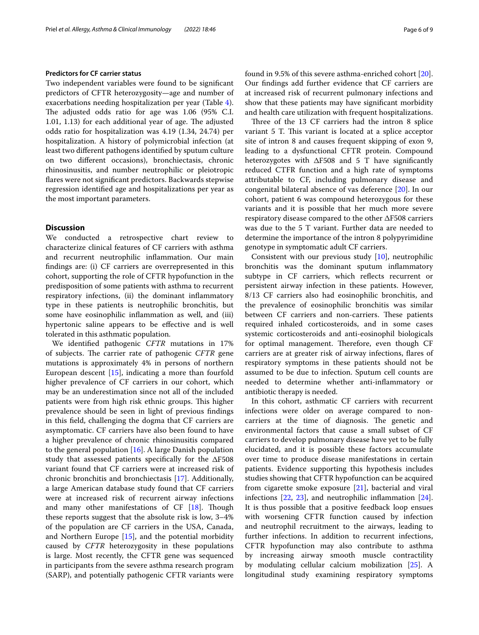#### **Predictors for CF carrier status**

Two independent variables were found to be signifcant predictors of CFTR heterozygosity—age and number of exacerbations needing hospitalization per year (Table [4](#page-4-2)). The adjusted odds ratio for age was 1.06 (95% C.I.  $1.01, 1.13$ ) for each additional year of age. The adjusted odds ratio for hospitalization was 4.19 (1.34, 24.74) per hospitalization. A history of polymicrobial infection (at least two diferent pathogens identifed by sputum culture on two diferent occasions), bronchiectasis, chronic rhinosinusitis, and number neutrophilic or pleiotropic fares were not signifcant predictors. Backwards stepwise regression identifed age and hospitalizations per year as the most important parameters.

## **Discussion**

We conducted a retrospective chart review to characterize clinical features of CF carriers with asthma and recurrent neutrophilic infammation. Our main fndings are: (i) CF carriers are overrepresented in this cohort, supporting the role of CFTR hypofunction in the predisposition of some patients with asthma to recurrent respiratory infections, (ii) the dominant infammatory type in these patients is neutrophilic bronchitis, but some have eosinophilic infammation as well, and (iii) hypertonic saline appears to be efective and is well tolerated in this asthmatic population.

We identifed pathogenic *CFTR* mutations in 17% of subjects. The carrier rate of pathogenic *CFTR* gene mutations is approximately 4% in persons of northern European descent [[15\]](#page-7-14), indicating a more than fourfold higher prevalence of CF carriers in our cohort, which may be an underestimation since not all of the included patients were from high risk ethnic groups. This higher prevalence should be seen in light of previous fndings in this feld, challenging the dogma that CF carriers are asymptomatic. CF carriers have also been found to have a higher prevalence of chronic rhinosinusitis compared to the general population  $[16]$  $[16]$ . A large Danish population study that assessed patients specifically for the  $\Delta$ F508 variant found that CF carriers were at increased risk of chronic bronchitis and bronchiectasis [[17\]](#page-7-16). Additionally, a large American database study found that CF carriers were at increased risk of recurrent airway infections and many other manifestations of  $CF$  [\[18](#page-7-17)]. Though these reports suggest that the absolute risk is low, 3–4% of the population are CF carriers in the USA, Canada, and Northern Europe [[15\]](#page-7-14), and the potential morbidity caused by *CFTR* heterozygosity in these populations is large. Most recently, the CFTR gene was sequenced in participants from the severe asthma research program (SARP), and potentially pathogenic CFTR variants were found in 9.5% of this severe asthma-enriched cohort [\[20](#page-7-18)]. Our fndings add further evidence that CF carriers are at increased risk of recurrent pulmonary infections and show that these patients may have signifcant morbidity and health care utilization with frequent hospitalizations.

Three of the 13 CF carriers had the intron 8 splice variant 5 T. This variant is located at a splice acceptor site of intron 8 and causes frequent skipping of exon 9, leading to a dysfunctional CFTR protein. Compound heterozygotes with  $\Delta$ F508 and 5 T have significantly reduced CTFR function and a high rate of symptoms attributable to CF, including pulmonary disease and congenital bilateral absence of vas deference [\[20](#page-7-18)]. In our cohort, patient 6 was compound heterozygous for these variants and it is possible that her much more severe respiratory disease compared to the other  $\Delta$ F508 carriers was due to the 5 T variant. Further data are needed to determine the importance of the intron 8 polypyrimidine genotype in symptomatic adult CF carriers.

Consistent with our previous study [\[10\]](#page-7-9), neutrophilic bronchitis was the dominant sputum infammatory subtype in CF carriers, which refects recurrent or persistent airway infection in these patients. However, 8/13 CF carriers also had eosinophilic bronchitis, and the prevalence of eosinophilic bronchitis was similar between CF carriers and non-carriers. These patients required inhaled corticosteroids, and in some cases systemic corticosteroids and anti-eosinophil biologicals for optimal management. Therefore, even though CF carriers are at greater risk of airway infections, fares of respiratory symptoms in these patients should not be assumed to be due to infection. Sputum cell counts are needed to determine whether anti-infammatory or antibiotic therapy is needed.

In this cohort, asthmatic CF carriers with recurrent infections were older on average compared to noncarriers at the time of diagnosis. The genetic and environmental factors that cause a small subset of CF carriers to develop pulmonary disease have yet to be fully elucidated, and it is possible these factors accumulate over time to produce disease manifestations in certain patients. Evidence supporting this hypothesis includes studies showing that CFTR hypofunction can be acquired from cigarette smoke exposure [[21\]](#page-7-19), bacterial and viral infections [\[22](#page-7-20), [23](#page-7-21)], and neutrophilic infammation [\[24](#page-7-22)]. It is thus possible that a positive feedback loop ensues with worsening CFTR function caused by infection and neutrophil recruitment to the airways, leading to further infections. In addition to recurrent infections, CFTR hypofunction may also contribute to asthma by increasing airway smooth muscle contractility by modulating cellular calcium mobilization [\[25\]](#page-7-23). A longitudinal study examining respiratory symptoms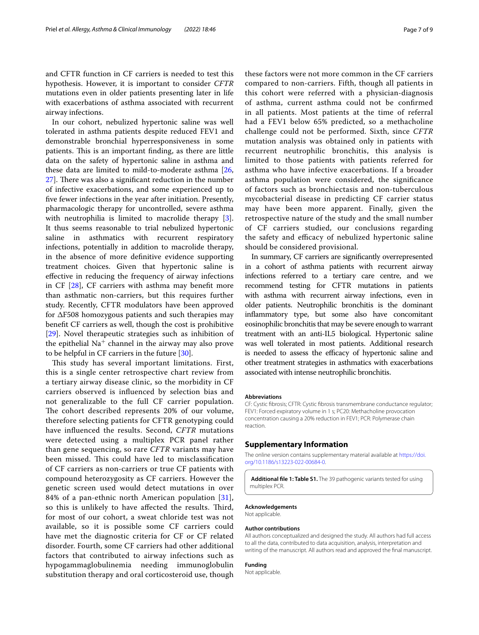and CFTR function in CF carriers is needed to test this hypothesis. However, it is important to consider *CFTR* mutations even in older patients presenting later in life with exacerbations of asthma associated with recurrent airway infections.

In our cohort, nebulized hypertonic saline was well tolerated in asthma patients despite reduced FEV1 and demonstrable bronchial hyperresponsiveness in some patients. This is an important finding, as there are little data on the safety of hypertonic saline in asthma and these data are limited to mild-to-moderate asthma [\[26](#page-7-24),  $27$ ]. There was also a significant reduction in the number of infective exacerbations, and some experienced up to fve fewer infections in the year after initiation. Presently, pharmacologic therapy for uncontrolled, severe asthma with neutrophilia is limited to macrolide therapy [\[3](#page-7-2)]. It thus seems reasonable to trial nebulized hypertonic saline in asthmatics with recurrent respiratory infections, potentially in addition to macrolide therapy, in the absence of more defnitive evidence supporting treatment choices. Given that hypertonic saline is efective in reducing the frequency of airway infections in CF [\[28](#page-7-26)], CF carriers with asthma may beneft more than asthmatic non-carriers, but this requires further study. Recently, CFTR modulators have been approved for  $\Delta$ F508 homozygous patients and such therapies may beneft CF carriers as well, though the cost is prohibitive [[29\]](#page-8-0). Novel therapeutic strategies such as inhibition of the epithelial  $Na<sup>+</sup>$  channel in the airway may also prove to be helpful in CF carriers in the future [[30\]](#page-8-1).

This study has several important limitations. First, this is a single center retrospective chart review from a tertiary airway disease clinic, so the morbidity in CF carriers observed is infuenced by selection bias and not generalizable to the full CF carrier population. The cohort described represents 20% of our volume, therefore selecting patients for CFTR genotyping could have infuenced the results. Second, *CFTR* mutations were detected using a multiplex PCR panel rather than gene sequencing, so rare *CFTR* variants may have been missed. This could have led to misclassification of CF carriers as non-carriers or true CF patients with compound heterozygosity as CF carriers. However the genetic screen used would detect mutations in over 84% of a pan-ethnic north American population [[31\]](#page-8-2), so this is unlikely to have affected the results. Third, for most of our cohort, a sweat chloride test was not available, so it is possible some CF carriers could have met the diagnostic criteria for CF or CF related disorder. Fourth, some CF carriers had other additional factors that contributed to airway infections such as hypogammaglobulinemia needing immunoglobulin substitution therapy and oral corticosteroid use, though

these factors were not more common in the CF carriers compared to non-carriers. Fifth, though all patients in this cohort were referred with a physician-diagnosis of asthma, current asthma could not be confrmed in all patients. Most patients at the time of referral had a FEV1 below 65% predicted, so a methacholine challenge could not be performed. Sixth, since *CFTR* mutation analysis was obtained only in patients with recurrent neutrophilic bronchitis, this analysis is limited to those patients with patients referred for asthma who have infective exacerbations. If a broader asthma population were considered, the signifcance of factors such as bronchiectasis and non-tuberculous mycobacterial disease in predicting CF carrier status may have been more apparent. Finally, given the retrospective nature of the study and the small number of CF carriers studied, our conclusions regarding the safety and efficacy of nebulized hypertonic saline should be considered provisional.

In summary, CF carriers are signifcantly overrepresented in a cohort of asthma patients with recurrent airway infections referred to a tertiary care centre, and we recommend testing for CFTR mutations in patients with asthma with recurrent airway infections, even in older patients. Neutrophilic bronchitis is the dominant infammatory type, but some also have concomitant eosinophilic bronchitis that may be severe enough to warrant treatment with an anti-IL5 biological. Hypertonic saline was well tolerated in most patients. Additional research is needed to assess the efficacy of hypertonic saline and other treatment strategies in asthmatics with exacerbations associated with intense neutrophilic bronchitis.

#### **Abbreviations**

CF: Cystic fbrosis; CFTR: Cystic fbrosis transmembrane conductance regulator; FEV1: Forced expiratory volume in 1 s; PC20: Methacholine provocation concentration causing a 20% reduction in FEV1; PCR: Polymerase chain reaction.

#### **Supplementary Information**

The online version contains supplementary material available at [https://doi.](https://doi.org/10.1186/s13223-022-00684-0) [org/10.1186/s13223-022-00684-0](https://doi.org/10.1186/s13223-022-00684-0).

<span id="page-6-0"></span>**Additional fle 1: Table S1.** The 39 pathogenic variants tested for using multiplex PCR.

#### **Acknowledgements**

Not applicable.

#### **Author contributions**

All authors conceptualized and designed the study. All authors had full access to all the data, contributed to data acquisition, analysis, interpretation and writing of the manuscript. All authors read and approved the fnal manuscript.

#### **Funding**

Not applicable.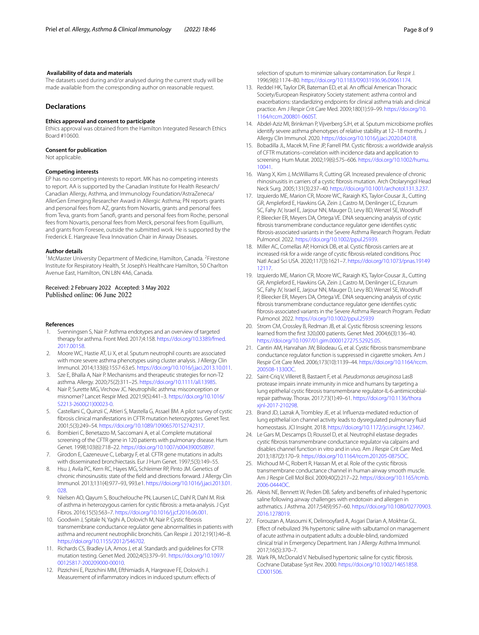#### **Availability of data and materials**

The datasets used during and/or analysed during the current study will be made available from the corresponding author on reasonable request.

## **Declarations**

## **Ethics approval and consent to participate**

Ethics approval was obtained from the Hamilton Integrated Research Ethics Board #10600.

#### **Consent for publication**

Not applicable.

#### **Competing interests**

EP has no competing interests to report. MK has no competing interests to report. AA is supported by the Canadian Institute for Health Research/ Canadian Allergy, Asthma, and Immunology Foundation/AstraZeneca/ AllerGen Emerging Researcher Award in Allergic Asthma; PN reports grants and personal fees from AZ, grants from Novartis, grants and personal fees from Teva, grants from Sanof, grants and personal fees from Roche, personal fees from Novartis, personal fees from Merck, personal fees from Equillium, and grants from Foresee, outside the submitted work. He is supported by the Frederick E. Hargreave Teva Innovation Chair in Airway Diseases.

#### **Author details**

<sup>1</sup> McMaster University Department of Medicine, Hamilton, Canada. <sup>2</sup>Firestone Institute for Respiratory Health, St Joseph's Healthcare Hamilton, 50 Charlton Avenue East, Hamilton, ON L8N 4A6, Canada.

# Received: 2 February 2022 Accepted: 3 May 2022<br>Published online: 06 June 2022

#### **References**

- <span id="page-7-0"></span>1. Svenningsen S, Nair P. Asthma endotypes and an overview of targeted therapy for asthma. Front Med. 2017;4:158. [https://doi.org/10.3389/fmed.](https://doi.org/10.3389/fmed.2017.00158) [2017.00158.](https://doi.org/10.3389/fmed.2017.00158)
- <span id="page-7-1"></span>2. Moore WC, Hastie AT, Li X, et al. Sputum neutrophil counts are associated with more severe asthma phenotypes using cluster analysis. J Allergy Clin Immunol. 2014;133(6):1557-63.e5.<https://doi.org/10.1016/j.jaci.2013.10.011>.
- <span id="page-7-2"></span>3. Sze E, Bhalla A, Nair P. Mechanisms and therapeutic strategies for non-T2 asthma. Allergy. 2020;75(2):311–25. <https://doi.org/10.1111/all.13985>.
- <span id="page-7-3"></span>Nair P, Surette MG, Virchow JC. Neutrophilic asthma: misconception or misnomer? Lancet Respir Med. 2021;9(5):441–3. [https://doi.org/10.1016/](https://doi.org/10.1016/S2213-2600(21)00023-0) [S2213-2600\(21\)00023-0.](https://doi.org/10.1016/S2213-2600(21)00023-0)
- <span id="page-7-4"></span>5. Castellani C, Quinzii C, Altieri S, Mastella G, Assael BM. A pilot survey of cystic fbrosis clinical manifestations in CFTR mutation heterozygotes. Genet Test. 2001;5(3):249–54.<https://doi.org/10.1089/10906570152742317>.
- <span id="page-7-5"></span>6. Bombieri C, Benetazzo M, Saccomani A, et al. Complete mutational screening of the CFTR gene in 120 patients with pulmonary disease. Hum Genet. 1998;103(6):718–22. [https://doi.org/10.1007/s004390050897.](https://doi.org/10.1007/s004390050897)
- <span id="page-7-6"></span>7. Girodon E, Cazeneuve C, Lebargy F, et al. CFTR gene mutations in adults with disseminated bronchiectasis. Eur J Hum Genet. 1997;5(3):149–55.
- <span id="page-7-7"></span>8. Hsu J, Avila PC, Kern RC, Hayes MG, Schleimer RP, Pinto JM. Genetics of chronic rhinosinusitis: state of the feld and directions forward. J Allergy Clin Immunol. 2013;131(4):977–93, 993.e1. [https://doi.org/10.1016/j.jaci.2013.01.](https://doi.org/10.1016/j.jaci.2013.01.028) [028](https://doi.org/10.1016/j.jaci.2013.01.028).
- <span id="page-7-8"></span>9. Nielsen AO, Qayum S, Bouchelouche PN, Laursen LC, Dahl R, Dahl M. Risk of asthma in heterozygous carriers for cystic fbrosis: a meta-analysis. J Cyst Fibros. 2016;15(5):563–7.<https://doi.org/10.1016/j.jcf.2016.06.001>.
- <span id="page-7-9"></span>10. Goodwin J, Spitale N, Yaghi A, Dolovich M, Nair P. Cystic fbrosis transmembrane conductance regulator gene abnormalities in patients with asthma and recurrent neutrophilic bronchitis. Can Respir J. 2012;19(1):46–8. <https://doi.org/10.1155/2012/546702>.
- <span id="page-7-10"></span>11. Richards CS, Bradley LA, Amos J, et al. Standards and guidelines for CFTR mutation testing. Genet Med. 2002;4(5):379–91. [https://doi.org/10.1097/](https://doi.org/10.1097/00125817-200209000-00010) [00125817-200209000-00010](https://doi.org/10.1097/00125817-200209000-00010).
- <span id="page-7-11"></span>12. Pizzichini E, Pizzichini MM, Efthimiadis A, Hargreave FE, Dolovich J. Measurement of infammatory indices in induced sputum: efects of

selection of sputum to minimize salivary contamination. Eur Respir J. 1996;9(6):1174–80. [https://doi.org/10.1183/09031936.96.09061174.](https://doi.org/10.1183/09031936.96.09061174)

- <span id="page-7-12"></span>13. Reddel HK, Taylor DR, Bateman ED, et al. An official American Thoracic Society/European Respiratory Society statement: asthma control and exacerbations: standardizing endpoints for clinical asthma trials and clinical practice. Am J Respir Crit Care Med. 2009;180(1):59–99. [https://doi.org/10.](https://doi.org/10.1164/rccm.200801-060ST) [1164/rccm.200801-060ST.](https://doi.org/10.1164/rccm.200801-060ST)
- <span id="page-7-13"></span>14. Abdel-Aziz MI, Brinkman P, Vijverberg SJH, et al. Sputum microbiome profles identify severe asthma phenotypes of relative stability at 12–18 months. J Allergy Clin Immunol. 2020.<https://doi.org/10.1016/j.jaci.2020.04.018>.
- <span id="page-7-14"></span>15. Bobadilla JL, Macek M, Fine JP, Farrell PM. Cystic fbrosis: a worldwide analysis of CFTR mutations–correlation with incidence data and application to screening. Hum Mutat. 2002;19(6):575–606. [https://doi.org/10.1002/humu.](https://doi.org/10.1002/humu.10041) [10041](https://doi.org/10.1002/humu.10041).
- <span id="page-7-15"></span>16. Wang X, Kim J, McWilliams R, Cutting GR. Increased prevalence of chronic rhinosinusitis in carriers of a cystic fbrosis mutation. Arch Otolaryngol Head Neck Surg. 2005;131(3):237–40.<https://doi.org/10.1001/archotol.131.3.237>.
- <span id="page-7-16"></span>17. Izquierdo ME, Marion CR, Moore WC, Raraigh KS, Taylor-Cousar JL, Cutting GR, Ampleford E, Hawkins GA, Zein J, Castro M, Denlinger LC, Erzurum SC, Fahy JV, Israel E, Jarjour NN, Mauger D, Levy BD, Wenzel SE, Woodruf P, Bleecker ER, Meyers DA, Ortega VE. DNA sequencing analysis of cystic fbrosis transmembrane conductance regulator gene identifes cystic fbrosis-associated variants in the Severe Asthma Research Program. Pediatr Pulmonol. 2022.<https://doi.org/10.1002/ppul.25939>.
- <span id="page-7-17"></span>18. Miller AC, Comellas AP, Hornick DB, et al. Cystic fbrosis carriers are at increased risk for a wide range of cystic fbrosis-related conditions. Proc Natl Acad Sci USA. 2020;117(3):1621–7. [https://doi.org/10.1073/pnas.19149](https://doi.org/10.1073/pnas.1914912117) [12117](https://doi.org/10.1073/pnas.1914912117).
- 19. Izquierdo ME, Marion CR, Moore WC, Raraigh KS, Taylor-Cousar JL, Cutting GR, Ampleford E, Hawkins GA, Zein J, Castro M, Denlinger LC, Erzurum SC, Fahy JV, Israel E, Jarjour NN, Mauger D, Levy BD, Wenzel SE, Woodruf P, Bleecker ER, Meyers DA, Ortega VE. DNA sequencing analysis of cystic fbrosis transmembrane conductance regulator gene identifes cystic fbrosis-associated variants in the Severe Asthma Research Program. Pediatr Pulmonol. 2022.<https://oi.org/10.1002/ppul.25939>
- <span id="page-7-18"></span>20. Strom CM, Crossley B, Redman JB, et al. Cystic fbrosis screening: lessons learned from the frst 320,000 patients. Genet Med. 2004;6(3):136–40. [https://doi.org/10.1097/01.gim.0000127275.52925.05.](https://doi.org/10.1097/01.gim.0000127275.52925.05)
- <span id="page-7-19"></span>21. Cantin AM, Hanrahan JW, Bilodeau G, et al. Cystic fibrosis transmembrane conductance regulator function is suppressed in cigarette smokers. Am J Respir Crit Care Med. 2006;173(10):1139–44. [https://doi.org/10.1164/rccm.](https://doi.org/10.1164/rccm.200508-1330OC) [200508-1330OC.](https://doi.org/10.1164/rccm.200508-1330OC)
- <span id="page-7-20"></span>22. Saint-Criq V, Villeret B, Bastaert F, et al. *Pseudomonas aeruginosa* LasB protease impairs innate immunity in mice and humans by targeting a lung epithelial cystic fbrosis transmembrane regulator-IL-6-antimicrobialrepair pathway. Thorax. 2017;73(1):49–61. [https://doi.org/10.1136/thora](https://doi.org/10.1136/thoraxjnl-2017-210298) [xjnl-2017-210298.](https://doi.org/10.1136/thoraxjnl-2017-210298)
- <span id="page-7-21"></span>23. Brand JD, Lazrak A, Trombley JE, et al. Infuenza-mediated reduction of lung epithelial ion channel activity leads to dysregulated pulmonary fuid homeostasis. JCI Insight. 2018. [https://doi.org/10.1172/jci.insight.123467.](https://doi.org/10.1172/jci.insight.123467)
- <span id="page-7-22"></span>24. Le Gars M, Descamps D, Roussel D, et al. Neutrophil elastase degrades cystic fbrosis transmembrane conductance regulator via calpains and disables channel function in vitro and in vivo. Am J Respir Crit Care Med. 2013;187(2):170–9. [https://doi.org/10.1164/rccm.201205-0875OC.](https://doi.org/10.1164/rccm.201205-0875OC)
- <span id="page-7-23"></span>25. Michoud M-C, Robert R, Hassan M, et al. Role of the cystic fibrosis transmembrane conductance channel in human airway smooth muscle. Am J Respir Cell Mol Biol. 2009;40(2):217–22. [https://doi.org/10.1165/rcmb.](https://doi.org/10.1165/rcmb.2006-0444OC) [2006-0444OC](https://doi.org/10.1165/rcmb.2006-0444OC).
- <span id="page-7-24"></span>26. Alexis NE, Bennett W, Peden DB. Safety and benefts of inhaled hypertonic saline following airway challenges with endotoxin and allergen in asthmatics. J Asthma. 2017;54(9):957–60. [https://doi.org/10.1080/02770903.](https://doi.org/10.1080/02770903.2016.1278019) [2016.1278019](https://doi.org/10.1080/02770903.2016.1278019).
- <span id="page-7-25"></span>27. Forouzan A, Masoumi K, Delirrooyfard A, Asgari Darian A, Mokhtar GL. Efect of nebulized 3% hypertonic saline with salbutamol on management of acute asthma in outpatient adults: a double-blind, randomized clinical trial in Emergency Department. Iran J Allergy Asthma Immunol. 2017;16(5):370–7.
- <span id="page-7-26"></span>28. Wark PA, McDonald V. Nebulised hypertonic saline for cystic fbrosis. Cochrane Database Syst Rev. 2000. [https://doi.org/10.1002/14651858.](https://doi.org/10.1002/14651858.CD001506) [CD001506.](https://doi.org/10.1002/14651858.CD001506)